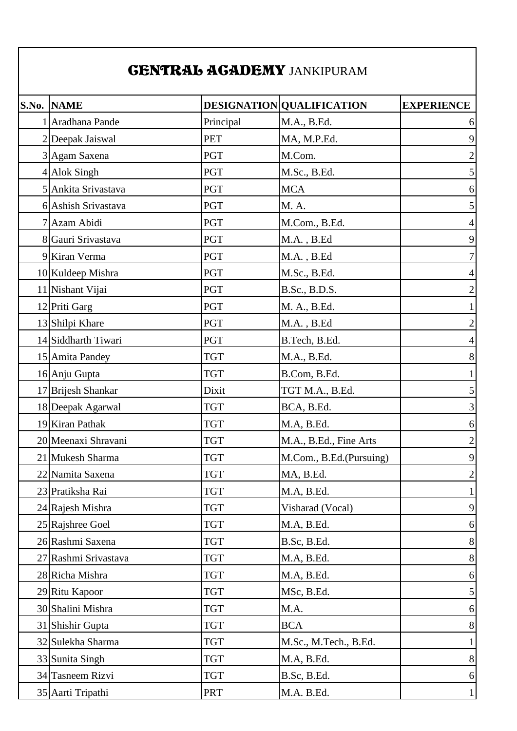## CENTRAL ACADEMY JANKIPURAM

| <b>S.No. NAME</b>    |            | DESIGNATION QUALIFICATION | <b>EXPERIENCE</b> |
|----------------------|------------|---------------------------|-------------------|
| 1 Aradhana Pande     | Principal  | M.A., B.Ed.               | 6                 |
| 2 Deepak Jaiswal     | PET        | MA, M.P.Ed.               | 9                 |
| 3 Agam Saxena        | <b>PGT</b> | M.Com.                    | $\mathbf{2}$      |
| 4 Alok Singh         | <b>PGT</b> | M.Sc., B.Ed.              | $\vert 5 \vert$   |
| 5 Ankita Srivastava  | <b>PGT</b> | <b>MCA</b>                | $6 \mid$          |
| 6 Ashish Srivastava  | <b>PGT</b> | M. A.                     | 5 <sup>1</sup>    |
| 7 Azam Abidi         | <b>PGT</b> | M.Com., B.Ed.             | $\vert$           |
| 8 Gauri Srivastava   | <b>PGT</b> | $M.A.$ , $B.Ed$           | 9                 |
| 9 Kiran Verma        | <b>PGT</b> | M.A., B.Ed                | 7 <sup>1</sup>    |
| 10 Kuldeep Mishra    | <b>PGT</b> | M.Sc., B.Ed.              | $\vert 4 \vert$   |
| 11 Nishant Vijai     | <b>PGT</b> | B.Sc., B.D.S.             | $\overline{2}$    |
| 12 Priti Garg        | <b>PGT</b> | M. A., B.Ed.              | $\mathbf{1}$      |
| 13 Shilpi Khare      | <b>PGT</b> | $M.A.$ , $B.Ed$           | $\overline{2}$    |
| 14 Siddharth Tiwari  | <b>PGT</b> | B.Tech, B.Ed.             | $\vert$           |
| 15 Amita Pandey      | <b>TGT</b> | M.A., B.Ed.               | 8                 |
| 16 Anju Gupta        | <b>TGT</b> | B.Com, B.Ed.              | $1\vert$          |
| 17 Brijesh Shankar   | Dixit      | TGT M.A., B.Ed.           | $\mathfrak{S}$    |
| 18 Deepak Agarwal    | <b>TGT</b> | BCA, B.Ed.                | 3 <sup>l</sup>    |
| 19 Kiran Pathak      | <b>TGT</b> | M.A, B.Ed.                | 6                 |
| 20 Meenaxi Shravani  | <b>TGT</b> | M.A., B.Ed., Fine Arts    | $\overline{2}$    |
| 21 Mukesh Sharma     | TGT        | M.Com., B.Ed.(Pursuing)   | 9                 |
| 22 Namita Saxena     | <b>TGT</b> | MA, B.Ed.                 | $\overline{2}$    |
| 23 Pratiksha Rai     | <b>TGT</b> | M.A, B.Ed.                | $1\vert$          |
| 24 Rajesh Mishra     | <b>TGT</b> | Visharad (Vocal)          | 9                 |
| 25 Rajshree Goel     | <b>TGT</b> | M.A, B.Ed.                | $6 \mid$          |
| 26 Rashmi Saxena     | <b>TGT</b> | B.Sc, B.Ed.               | 8                 |
| 27 Rashmi Srivastava | <b>TGT</b> | M.A, B.Ed.                | 8                 |
| 28 Richa Mishra      | <b>TGT</b> | M.A, B.Ed.                | 6                 |
| 29 Ritu Kapoor       | <b>TGT</b> | MSc, B.Ed.                | $\vert$           |
| 30 Shalini Mishra    | TGT        | M.A.                      | $6 \mid$          |
| 31 Shishir Gupta     | <b>TGT</b> | <b>BCA</b>                | 8                 |
| 32 Sulekha Sharma    | <b>TGT</b> | M.Sc., M.Tech., B.Ed.     | $1\vert$          |
| 33 Sunita Singh      | <b>TGT</b> | M.A, B.Ed.                | 8                 |
| 34 Tasneem Rizvi     | <b>TGT</b> | B.Sc, B.Ed.               | 6                 |
| 35 Aarti Tripathi    | <b>PRT</b> | M.A. B.Ed.                | $1\vert$          |